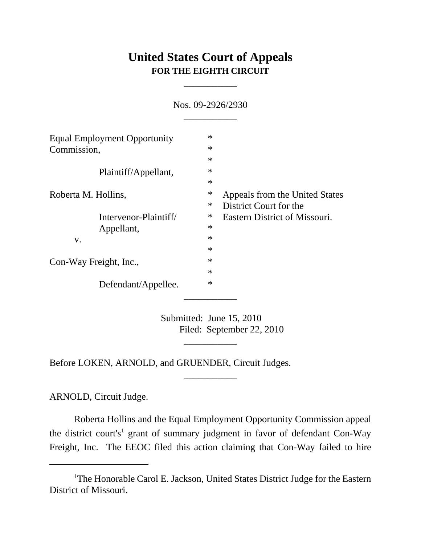## **United States Court of Appeals FOR THE EIGHTH CIRCUIT**

\_\_\_\_\_\_\_\_\_\_\_

| <b>Equal Employment Opportunity</b><br>Commission, | $\ast$                                   |
|----------------------------------------------------|------------------------------------------|
|                                                    | $\ast$                                   |
|                                                    | $\ast$                                   |
| Plaintiff/Appellant,                               | $\ast$                                   |
|                                                    | $\ast$                                   |
| Roberta M. Hollins,                                | $\ast$<br>Appeals from the United States |
|                                                    | District Court for the<br>$\ast$         |
| Intervenor-Plaintiff/                              | ∗<br>Eastern District of Missouri.       |
| Appellant,                                         | $\ast$                                   |
| V.                                                 | $\ast$                                   |
|                                                    | $\ast$                                   |
| Con-Way Freight, Inc.,                             | $\ast$                                   |
|                                                    | $\ast$                                   |
| Defendant/Appellee.                                | $\ast$                                   |
|                                                    |                                          |

Nos. 09-2926/2930

Submitted: June 15, 2010 Filed: September 22, 2010

\_\_\_\_\_\_\_\_\_\_\_

\_\_\_\_\_\_\_\_\_\_\_

Before LOKEN, ARNOLD, and GRUENDER, Circuit Judges.

ARNOLD, Circuit Judge.

Roberta Hollins and the Equal Employment Opportunity Commission appeal the district court's<sup>1</sup> grant of summary judgment in favor of defendant Con-Way Freight, Inc. The EEOC filed this action claiming that Con-Way failed to hire

<sup>&</sup>lt;sup>1</sup>The Honorable Carol E. Jackson, United States District Judge for the Eastern District of Missouri.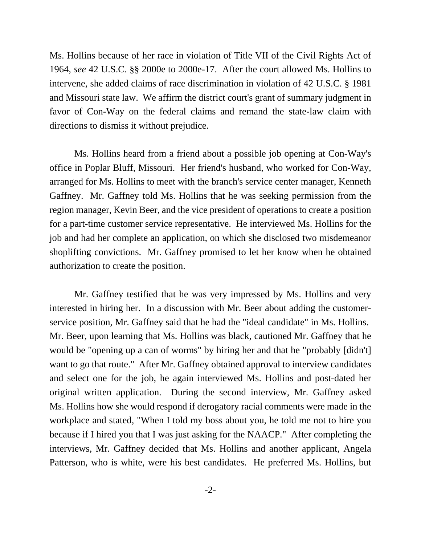Ms. Hollins because of her race in violation of Title VII of the Civil Rights Act of 1964, *see* 42 U.S.C. §§ 2000e to 2000e-17. After the court allowed Ms. Hollins to intervene, she added claims of race discrimination in violation of 42 U.S.C. § 1981 and Missouri state law. We affirm the district court's grant of summary judgment in favor of Con-Way on the federal claims and remand the state-law claim with directions to dismiss it without prejudice.

Ms. Hollins heard from a friend about a possible job opening at Con-Way's office in Poplar Bluff, Missouri. Her friend's husband, who worked for Con-Way, arranged for Ms. Hollins to meet with the branch's service center manager, Kenneth Gaffney. Mr. Gaffney told Ms. Hollins that he was seeking permission from the region manager, Kevin Beer, and the vice president of operations to create a position for a part-time customer service representative. He interviewed Ms. Hollins for the job and had her complete an application, on which she disclosed two misdemeanor shoplifting convictions. Mr. Gaffney promised to let her know when he obtained authorization to create the position.

Mr. Gaffney testified that he was very impressed by Ms. Hollins and very interested in hiring her. In a discussion with Mr. Beer about adding the customerservice position, Mr. Gaffney said that he had the "ideal candidate" in Ms. Hollins. Mr. Beer, upon learning that Ms. Hollins was black, cautioned Mr. Gaffney that he would be "opening up a can of worms" by hiring her and that he "probably [didn't] want to go that route." After Mr. Gaffney obtained approval to interview candidates and select one for the job, he again interviewed Ms. Hollins and post-dated her original written application. During the second interview, Mr. Gaffney asked Ms. Hollins how she would respond if derogatory racial comments were made in the workplace and stated, "When I told my boss about you, he told me not to hire you because if I hired you that I was just asking for the NAACP." After completing the interviews, Mr. Gaffney decided that Ms. Hollins and another applicant, Angela Patterson, who is white, were his best candidates. He preferred Ms. Hollins, but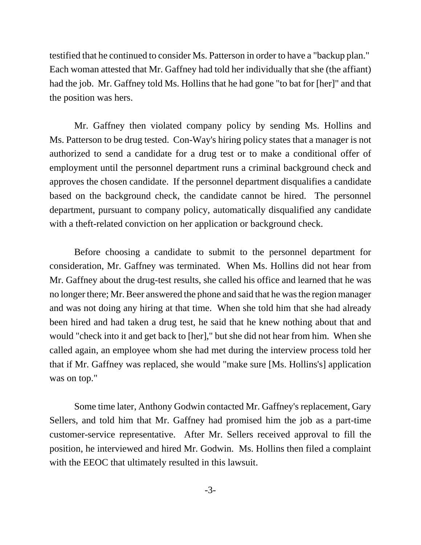testified that he continued to consider Ms. Patterson in order to have a "backup plan." Each woman attested that Mr. Gaffney had told her individually that she (the affiant) had the job. Mr. Gaffney told Ms. Hollins that he had gone "to bat for [her]" and that the position was hers.

Mr. Gaffney then violated company policy by sending Ms. Hollins and Ms. Patterson to be drug tested. Con-Way's hiring policy states that a manager is not authorized to send a candidate for a drug test or to make a conditional offer of employment until the personnel department runs a criminal background check and approves the chosen candidate. If the personnel department disqualifies a candidate based on the background check, the candidate cannot be hired. The personnel department, pursuant to company policy, automatically disqualified any candidate with a theft-related conviction on her application or background check.

Before choosing a candidate to submit to the personnel department for consideration, Mr. Gaffney was terminated. When Ms. Hollins did not hear from Mr. Gaffney about the drug-test results, she called his office and learned that he was no longer there; Mr. Beer answered the phone and said that he was the region manager and was not doing any hiring at that time. When she told him that she had already been hired and had taken a drug test, he said that he knew nothing about that and would "check into it and get back to [her]," but she did not hear from him. When she called again, an employee whom she had met during the interview process told her that if Mr. Gaffney was replaced, she would "make sure [Ms. Hollins's] application was on top."

Some time later, Anthony Godwin contacted Mr. Gaffney's replacement, Gary Sellers, and told him that Mr. Gaffney had promised him the job as a part-time customer-service representative. After Mr. Sellers received approval to fill the position, he interviewed and hired Mr. Godwin. Ms. Hollins then filed a complaint with the EEOC that ultimately resulted in this lawsuit.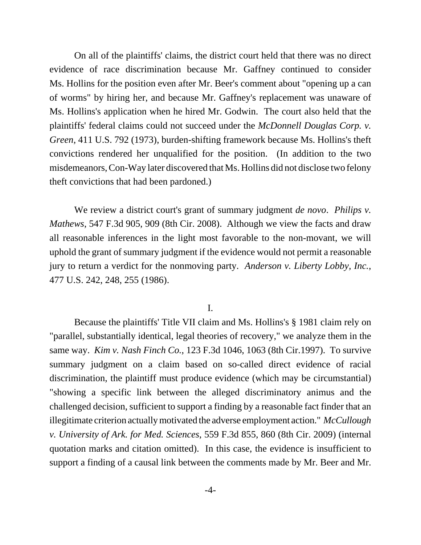On all of the plaintiffs' claims, the district court held that there was no direct evidence of race discrimination because Mr. Gaffney continued to consider Ms. Hollins for the position even after Mr. Beer's comment about "opening up a can of worms" by hiring her, and because Mr. Gaffney's replacement was unaware of Ms. Hollins's application when he hired Mr. Godwin. The court also held that the plaintiffs' federal claims could not succeed under the *McDonnell Douglas Corp. v. Green*, 411 U.S. 792 (1973), burden-shifting framework because Ms. Hollins's theft convictions rendered her unqualified for the position. (In addition to the two misdemeanors, Con-Way later discovered that Ms. Hollins did not disclose two felony theft convictions that had been pardoned.)

We review a district court's grant of summary judgment *de novo*. *Philips v. Mathews*, 547 F.3d 905, 909 (8th Cir. 2008). Although we view the facts and draw all reasonable inferences in the light most favorable to the non-movant, we will uphold the grant of summary judgment if the evidence would not permit a reasonable jury to return a verdict for the nonmoving party. *Anderson v. Liberty Lobby, Inc.*, 477 U.S. 242, 248, 255 (1986).

## I.

Because the plaintiffs' Title VII claim and Ms. Hollins's § 1981 claim rely on "parallel, substantially identical, legal theories of recovery," we analyze them in the same way. *Kim v. Nash Finch Co.*, 123 F.3d 1046, 1063 (8th Cir.1997). To survive summary judgment on a claim based on so-called direct evidence of racial discrimination, the plaintiff must produce evidence (which may be circumstantial) "showing a specific link between the alleged discriminatory animus and the challenged decision, sufficient to support a finding by a reasonable fact finder that an illegitimate criterion actually motivated the adverse employment action." *McCullough v. University of Ark. for Med. Sciences*, 559 F.3d 855, 860 (8th Cir. 2009) (internal quotation marks and citation omitted). In this case, the evidence is insufficient to support a finding of a causal link between the comments made by Mr. Beer and Mr.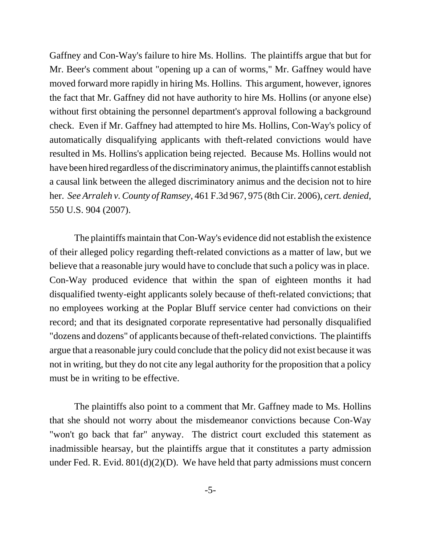Gaffney and Con-Way's failure to hire Ms. Hollins. The plaintiffs argue that but for Mr. Beer's comment about "opening up a can of worms," Mr. Gaffney would have moved forward more rapidly in hiring Ms. Hollins. This argument, however, ignores the fact that Mr. Gaffney did not have authority to hire Ms. Hollins (or anyone else) without first obtaining the personnel department's approval following a background check. Even if Mr. Gaffney had attempted to hire Ms. Hollins, Con-Way's policy of automatically disqualifying applicants with theft-related convictions would have resulted in Ms. Hollins's application being rejected. Because Ms. Hollins would not have been hired regardless of the discriminatory animus, the plaintiffs cannot establish a causal link between the alleged discriminatory animus and the decision not to hire her. *See Arraleh v. County of Ramsey*, 461 F.3d 967, 975 (8th Cir. 2006), *cert. denied*, 550 U.S. 904 (2007).

The plaintiffs maintain that Con-Way's evidence did not establish the existence of their alleged policy regarding theft-related convictions as a matter of law, but we believe that a reasonable jury would have to conclude that such a policy was in place. Con-Way produced evidence that within the span of eighteen months it had disqualified twenty-eight applicants solely because of theft-related convictions; that no employees working at the Poplar Bluff service center had convictions on their record; and that its designated corporate representative had personally disqualified "dozens and dozens" of applicants because of theft-related convictions. The plaintiffs argue that a reasonable jury could conclude that the policy did not exist because it was not in writing, but they do not cite any legal authority for the proposition that a policy must be in writing to be effective.

The plaintiffs also point to a comment that Mr. Gaffney made to Ms. Hollins that she should not worry about the misdemeanor convictions because Con-Way "won't go back that far" anyway. The district court excluded this statement as inadmissible hearsay, but the plaintiffs argue that it constitutes a party admission under Fed. R. Evid.  $801(d)(2)(D)$ . We have held that party admissions must concern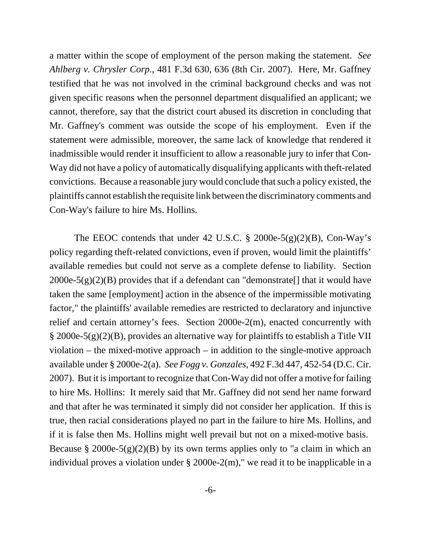a matter within the scope of employment of the person making the statement. *See Ahlberg v. Chrysler Corp.*, 481 F.3d 630, 636 (8th Cir. 2007). Here, Mr. Gaffney testified that he was not involved in the criminal background checks and was not given specific reasons when the personnel department disqualified an applicant; we cannot, therefore, say that the district court abused its discretion in concluding that Mr. Gaffney's comment was outside the scope of his employment. Even if the statement were admissible, moreover, the same lack of knowledge that rendered it inadmissible would render it insufficient to allow a reasonable jury to infer that Con-Way did not have a policy of automatically disqualifying applicants with theft-related convictions. Because a reasonable jury would conclude that such a policy existed, the plaintiffs cannot establish the requisite link between the discriminatory comments and Con-Way's failure to hire Ms. Hollins.

The EEOC contends that under 42 U.S.C.  $\S$  2000e-5(g)(2)(B), Con-Way's policy regarding theft-related convictions, even if proven, would limit the plaintiffs' available remedies but could not serve as a complete defense to liability. Section 2000e-5(g)(2)(B) provides that if a defendant can "demonstrate. That it would have taken the same [employment] action in the absence of the impermissible motivating factor," the plaintiffs' available remedies are restricted to declaratory and injunctive relief and certain attorney's fees. Section 2000e-2(m), enacted concurrently with § 2000e-5(g)(2)(B), provides an alternative way for plaintiffs to establish a Title VII violation – the mixed-motive approach – in addition to the single-motive approach available under § 2000e-2(a). *See Fogg v. Gonzales*, 492 F.3d 447, 452-54 (D.C. Cir. 2007). But it is important to recognize that Con-Way did not offer a motive for failing to hire Ms. Hollins: It merely said that Mr. Gaffney did not send her name forward and that after he was terminated it simply did not consider her application. If this is true, then racial considerations played no part in the failure to hire Ms. Hollins, and if it is false then Ms. Hollins might well prevail but not on a mixed-motive basis. Because § 2000e-5(g)(2)(B) by its own terms applies only to "a claim in which an individual proves a violation under § 2000e-2(m)," we read it to be inapplicable in a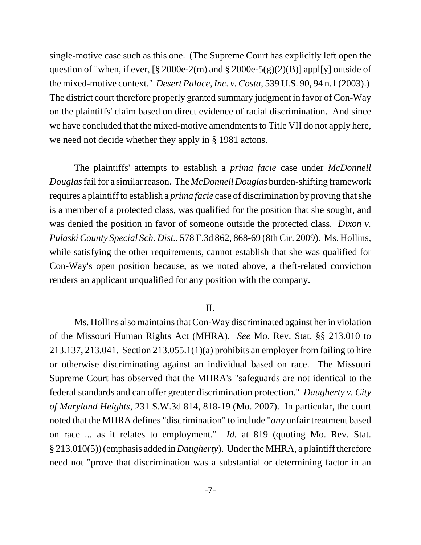single-motive case such as this one. (The Supreme Court has explicitly left open the question of "when, if ever,  $[\S 2000e-2(m)$  and  $\S 2000e-5(g)(2)(B)]$  appl[y] outside of the mixed-motive context." *Desert Palace, Inc. v. Costa*, 539 U.S. 90, 94 n.1 (2003).) The district court therefore properly granted summary judgment in favor of Con-Way on the plaintiffs' claim based on direct evidence of racial discrimination. And since we have concluded that the mixed-motive amendments to Title VII do not apply here, we need not decide whether they apply in § 1981 actons.

The plaintiffs' attempts to establish a *prima facie* case under *McDonnell Douglas* fail for a similar reason. The *McDonnell Douglas* burden-shifting framework requires a plaintiff to establish a *prima facie* case of discrimination by proving that she is a member of a protected class, was qualified for the position that she sought, and was denied the position in favor of someone outside the protected class. *Dixon v. Pulaski County Special Sch. Dist.*, 578 F.3d 862, 868-69 (8th Cir. 2009). Ms. Hollins, while satisfying the other requirements, cannot establish that she was qualified for Con-Way's open position because, as we noted above, a theft-related conviction renders an applicant unqualified for any position with the company.

## II.

Ms. Hollins also maintains that Con-Way discriminated against her in violation of the Missouri Human Rights Act (MHRA). *See* Mo. Rev. Stat. §§ 213.010 to 213.137, 213.041. Section 213.055.1(1)(a) prohibits an employer from failing to hire or otherwise discriminating against an individual based on race. The Missouri Supreme Court has observed that the MHRA's "safeguards are not identical to the federal standards and can offer greater discrimination protection." *Daugherty v. City of Maryland Heights*, 231 S.W.3d 814, 818-19 (Mo. 2007). In particular, the court noted that the MHRA defines "discrimination" to include "*any* unfair treatment based on race ... as it relates to employment." *Id.* at 819 (quoting Mo. Rev. Stat. § 213.010(5)) (emphasis added in *Daugherty*). Under the MHRA, a plaintiff therefore need not "prove that discrimination was a substantial or determining factor in an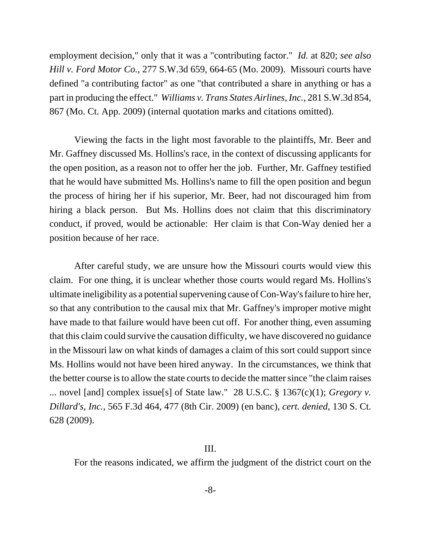employment decision," only that it was a "contributing factor." *Id.* at 820; *see also Hill v. Ford Motor Co.*, 277 S.W.3d 659, 664-65 (Mo. 2009). Missouri courts have defined "a contributing factor" as one "that contributed a share in anything or has a part in producing the effect." *Williams v. Trans States Airlines, Inc.*, 281 S.W.3d 854, 867 (Mo. Ct. App. 2009) (internal quotation marks and citations omitted).

Viewing the facts in the light most favorable to the plaintiffs, Mr. Beer and Mr. Gaffney discussed Ms. Hollins's race, in the context of discussing applicants for the open position, as a reason not to offer her the job. Further, Mr. Gaffney testified that he would have submitted Ms. Hollins's name to fill the open position and begun the process of hiring her if his superior, Mr. Beer, had not discouraged him from hiring a black person. But Ms. Hollins does not claim that this discriminatory conduct, if proved, would be actionable: Her claim is that Con-Way denied her a position because of her race.

After careful study, we are unsure how the Missouri courts would view this claim. For one thing, it is unclear whether those courts would regard Ms. Hollins's ultimate ineligibility as a potential supervening cause of Con-Way's failure to hire her, so that any contribution to the causal mix that Mr. Gaffney's improper motive might have made to that failure would have been cut off. For another thing, even assuming that this claim could survive the causation difficulty, we have discovered no guidance in the Missouri law on what kinds of damages a claim of this sort could support since Ms. Hollins would not have been hired anyway. In the circumstances, we think that the better course is to allow the state courts to decide the matter since "the claim raises ... novel [and] complex issue[s] of State law." 28 U.S.C. § 1367(c)(1); *Gregory v. Dillard's, Inc.*, 565 F.3d 464, 477 (8th Cir. 2009) (en banc), *cert. denied*, 130 S. Ct. 628 (2009).

## III.

For the reasons indicated, we affirm the judgment of the district court on the